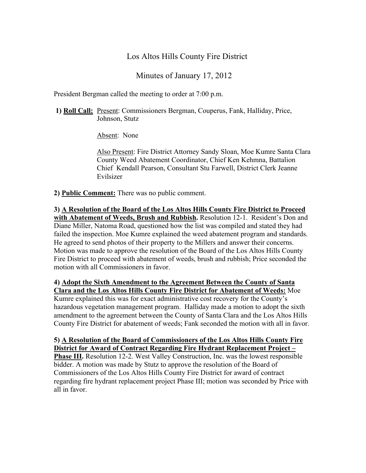# Los Altos Hills County Fire District

Minutes of January 17, 2012

President Bergman called the meeting to order at 7:00 p.m.

**1) Roll Call:** Present: Commissioners Bergman, Couperus, Fank, Halliday, Price, Johnson, Stutz

Absent: None

Also Present: Fire District Attorney Sandy Sloan, Moe Kumre Santa Clara County Weed Abatement Coordinator, Chief Ken Kehmna, Battalion Chief Kendall Pearson, Consultant Stu Farwell, District Clerk Jeanne Evilsizer

**2) Public Comment:** There was no public comment.

**3) A Resolution of the Board of the Los Altos Hills County Fire District to Proceed with Abatement of Weeds, Brush and Rubbish.** Resolution 12-1. Resident's Don and Diane Miller, Natoma Road, questioned how the list was compiled and stated they had failed the inspection. Moe Kumre explained the weed abatement program and standards. He agreed to send photos of their property to the Millers and answer their concerns. Motion was made to approve the resolution of the Board of the Los Altos Hills County Fire District to proceed with abatement of weeds, brush and rubbish; Price seconded the motion with all Commissioners in favor.

#### **4) Adopt the Sixth Amendment to the Agreement Between the County of Santa Clara and the Los Altos Hills County Fire District for Abatement of Weeds:** Moe

Kumre explained this was for exact administrative cost recovery for the County's hazardous vegetation management program. Halliday made a motion to adopt the sixth amendment to the agreement between the County of Santa Clara and the Los Altos Hills County Fire District for abatement of weeds; Fank seconded the motion with all in favor.

#### **5) A Resolution of the Board of Commissioners of the Los Altos Hills County Fire District for Award of Contract Regarding Fire Hydrant Replacement Project –**

**Phase III.** Resolution 12-2. West Valley Construction, Inc. was the lowest responsible bidder. A motion was made by Stutz to approve the resolution of the Board of Commissioners of the Los Altos Hills County Fire District for award of contract regarding fire hydrant replacement project Phase III; motion was seconded by Price with all in favor.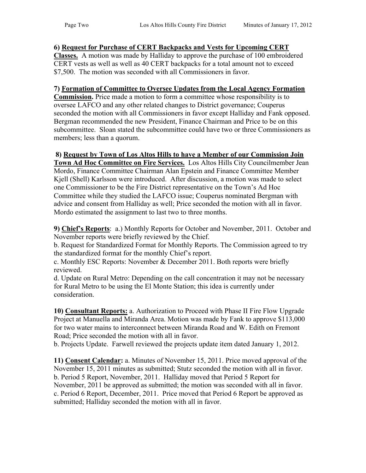## **6) Request for Purchase of CERT Backpacks and Vests for Upcoming CERT**

**Classes.** A motion was made by Halliday to approve the purchase of 100 embroidered CERT vests as well as well as 40 CERT backpacks for a total amount not to exceed \$7,500. The motion was seconded with all Commissioners in favor.

## **7) Formation of Committee to Oversee Updates from the Local Agency Formation**

**Commission.** Price made a motion to form a committee whose responsibility is to oversee LAFCO and any other related changes to District governance; Couperus seconded the motion with all Commissioners in favor except Halliday and Fank opposed. Bergman recommended the new President, Finance Chairman and Price to be on this subcommittee. Sloan stated the subcommittee could have two or three Commissioners as members; less than a quorum.

## **8) Request by Town of Los Altos Hills to have a Member of our Commission Join**

**Town Ad Hoc Committee on Fire Services.** Los Altos Hills City Councilmember Jean Mordo, Finance Committee Chairman Alan Epstein and Finance Committee Member Kjell (Shell) Karlsson were introduced. After discussion, a motion was made to select one Commissioner to be the Fire District representative on the Town's Ad Hoc Committee while they studied the LAFCO issue; Couperus nominated Bergman with advice and consent from Halliday as well; Price seconded the motion with all in favor. Mordo estimated the assignment to last two to three months.

**9) Chief's Reports**: a.) Monthly Reports for October and November, 2011. October and November reports were briefly reviewed by the Chief.

b. Request for Standardized Format for Monthly Reports. The Commission agreed to try the standardized format for the monthly Chief's report.

c. Monthly ESC Reports: November & December 2011. Both reports were briefly reviewed.

d. Update on Rural Metro: Depending on the call concentration it may not be necessary for Rural Metro to be using the El Monte Station; this idea is currently under consideration.

**10) Consultant Reports:** a. Authorization to Proceed with Phase II Fire Flow Upgrade Project at Manuella and Miranda Area. Motion was made by Fank to approve \$113,000 for two water mains to interconnect between Miranda Road and W. Edith on Fremont Road; Price seconded the motion with all in favor.

b. Projects Update. Farwell reviewed the projects update item dated January 1, 2012.

**11) Consent Calendar:** a. Minutes of November 15, 2011. Price moved approval of the November 15, 2011 minutes as submitted; Stutz seconded the motion with all in favor. b. Period 5 Report, November, 2011. Halliday moved that Period 5 Report for November, 2011 be approved as submitted; the motion was seconded with all in favor. c. Period 6 Report, December, 2011. Price moved that Period 6 Report be approved as submitted; Halliday seconded the motion with all in favor.